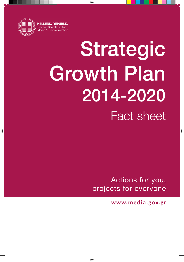

 $\bigoplus$ 

# Strategic **Growth Plan** 2014-2020 **Fact sheet**

⊕

Actions for you, projects for everyone

www.media.gov.gr

⊕

 $\bigoplus$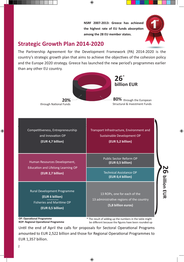NSRF 2007-2013: Greece has achieved the highest rate of EU funds absorption among the 28 EU member states.



**26 billion EUR**

O Dilion EUR

⊕

#### **Strategic Growth Plan 2014-2020**

The Partnership Agreement for the Development Framework (PA) 2014-2020 is the country's strategic growth plan that aims to achieve the objectives of the cohesion policy and the Europe 2020 strategy. Greece has launched the new period's programmes earlier than any other EU country.

 $\bigoplus$ 



Αρχιτεκτονική και προτεραιότητες του ΕΣΠΑ 2014-2020: Competitiveness, Entrepreneurship and Innovation OP

**(EUR 4,7 billion)**

Human Resources Development, Education and Lifelong Learning OP **(EUR 2,7 billion)**

Rural Development Programme **(EUR 6 billion)**  Fisheries and Maritime OP **(EUR 0,5 billion)** 

Transport Infrastructure, Environment and Sustainable Development OP **(EUR 5,2 billion)**

> Public Sector Reform OP **(EUR 0,5 billion)**

Technical Assistance OP **(EUR 0,4 billion)** 

13 ROPs, one for each of the 13 administrative regions of the country **(5,8 billion euros)**

**OP: Operational Programme ROP: Regional Operational Programme** 

\* The result of adding up the numbers in the table might be different because the figures have been rounded up

Until the end of April the calls for proposals for Sectoral Operational Programs amounted to EUR 2,522 billion and those for Regional Operational Programmes to EUR 1,357 billion.

⊕

 $\bigoplus$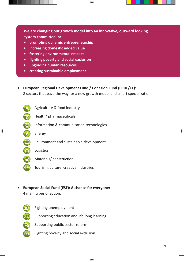**We are changing our growth model into an innovative, outward looking system committed in:**

 $\bigoplus$ 

- **• promoting dynamic entrepreneurship**
- **• increasing domestic added value**
- **• fostering environmental respect**
- **• fighting poverty and social exclusion**
- **• upgrading human resources**
- **• creating sustainable employment**
- **• European Regional Development Fund / Cohesion Fund (ERDF/CF):**  8 sectors that pave the way for a new growth model and smart specialization:
	-

 $\mathbb{P}$ 

⊕

Αgriculture & food industry

- Health/ pharmaceuticals
- Information & communication technologies
- 无命命 Energy
	- Environment and sustainable development
	- Logistics
	- Materials/ construction
- **MH** Tourism, culture, creative industries
- **• European Social Fund (ESF): A chance for everyone:** 4 main types of action:
	-
- Fighting unemployment

Supporting education and life-long learning

 $\bigoplus$ 

**M** 

- Supporting public sector reform
- Fighting poverty and social exclusion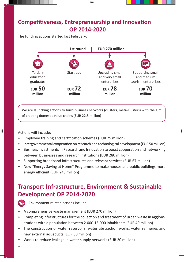# **Competitiveness, Entrepreneurship and Innovation OP 2014-2020**

⊕

The funding actions started last February:



We are launching actions to build business networks (clusters, meta-clusters) with the aim of creating domestic value chains (EUR 22,5 million)

Actions will include:

 $\bigoplus$ 

- Employee training and certification schemes (EUR 25 million)
- Intergovernmental cooperation on research and technological development (EUR 50 million)

⊕

- Business investments in Research and Innovation to boost cooperation and networking between businesses and research institutions (EUR 280 million)
- Supporting broadband infrastructures and relevant services (EUR 67 million)
- New "Energy Saving at Home" Programme to make houses and public buildings more energy efficient (EUR 248 million)

# **Transport Infrastructure, Environment & Sustainable Development OP 2014-2020**



Environment related actions include:

- A comprehensive waste management (EUR 270 million)
- Completing infrastructures for the collection and treatment of urban waste in agglomerations with a population between 2.000-15.000 inhabitants (EUR 49 million)
- The construction of water reservoirs, water abstraction works, water refineries and new external aqueducts (EUR 30 million)

 $\bigoplus$ 

• Works to reduce leakage in water supply networks (EUR 20 million)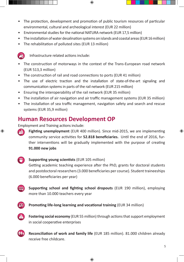• The protection, development and promotion of public tourism resources of particular environmental, cultural and archeological interest (EUR 22 million)

⊕

- Environmental studies for the national NATURA network (EUR 17,5 million)
- The installation of water desalination systems on islands and coastal areas (EUR 16 million)
- The rehabilitation of polluted sites (EUR 13 million)



Infrastructure related actions include:

- The construction of motorways in the context of the Trans-European road network (EUR 513,3 million)
- The construction of rail and road connections to ports (EUR 41 million)
- The use of electric traction and the installation of state-of-the-art signaling and communication systems in parts of the rail network (EUR 215 million)
- Ensuring the interoperability of the rail network (EUR 35 million)
- The installation of air navigation and air traffic management systems (EUR 35 million)
- The installation of sea traffic management, navigation safety and search and rescue systems (EUR 35,9 million)

## **Human Resources Development OP**

Employment and Training actions include:

**Fighting unemployment** (EUR 400 million). Since mid-2015, we are implementing community service activities for **52.818 beneficiaries.** Until the end of 2016, further interventions will be gradually implemented with the purpose of creating **91.000 new jobs**

#### $\boxed{20}$ **Supporting young scientists** (EUR 105 million) Getting academic teaching experience after the PhD, grants for doctoral students and postdoctoral researchers (3.000 beneficiaries per course). Student traineeships (6.000 beneficiaries per year)

**Supporting school and fighting school dropouts** (EUR 190 million), employing more than 10.000 teachers every year



⊕

**Promoting life-long learning and vocational training (EUR 34 million)** 



**Fostering social economy** (EUR 55 million) through actions that support employment in social cooperative enterprises



**Reconciliation of work and family life** (EUR 185 million). 81.000 children already receive free childcare.

 $\bigoplus$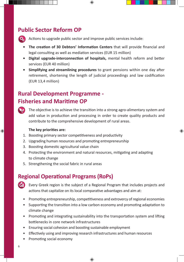## **Public Sector Reform OP**



Actions to upgrade public sector and improve public services include:

**• The creation of 30 Debtors' Information Centers** that will provide financial and legal consulting as well as mediation services (EUR 15 million)

⊕

- **• Digital upgrade-interconnection of hospitals,** mental health reform and better services (EUR 40 million)
- **• Simplifying and streamlining procedures** to grant pensions within one day after retirement, shortening the length of judicial proceedings and law codification (EUR 13,4 million)

# **Rural Development Programme - Fisheries and Maritime OP**



 $\bigoplus$ 

The objective is to achieve the transition into a strong agro-alimentary system and add value in production and processing in order to create quality products and contribute to the comprehensive development of rural areas.

⊕

#### **The key priorities are:**

- 1. Boosting primary sector competitiveness and productivity
- 2. Upgrading human resources and promoting entrepreneurship
- 3. Boosting domestic agricultural value chain
- 4. Protecting the environment and natural resources, mitigating and adapting to climate change
- 5. Strengthening the social fabric in rural areas

# **Regional Operational Programs (RoPs)**



Every Greek region is the subject of a Regional Program that includes projects and actions that capitalize on its local comparative advantages and aim at:

- Promoting entrepreneurship, competitiveness and extrovercy of regional economies
- Supporting the transition into a low carbon economy and promoting adaptation to climate change
- Promoting and integrating sustainability into the transportation system and lifting bottlenecks in core network infrastructures
- Ensuring social cohesion and boosting sustainable employment
- Effectively using and improving research infrastructures and human resources
- Promoting social economy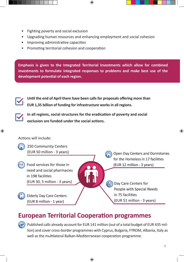- Fighting poverty and social exclusion
- Upgrading human resources and enhancing employment and social cohesion

 $\textcircled{\scriptsize{*}}$ 

- Improving administrative capacities
- Promoting territorial cohesion and cooperation

**Emphasis is given to the Integrated Territorial Investments which allow for combined investments to formulate integrated responses to problems and make best use of the development potential of each region.**



j

**Until the end of April there have been calls for proposals offering more than EUR 1,35 billion of funding for infrastructure works in all regions.**



⊕

**In all regions, social structures for the eradication of poverty and social exclusion are funded under the social actions.** 

#### Actions will include:



250 Community Centers (EUR 50 million - 3 years)

Food services for those in **ALL** need and social pharmacies in 198 facilities (EUR 30, 5 million - 3 years)

> **Elderly Day Care Centers** (EUR 8 million - 1 year)

**Open Day Centers and Dormitories** for the Homeless in 17 facilities (EUR 12 million - 3 years)

Day Care Centers for People with Special Needs in 75 facilities (EUR 51 million - 3 years)

# **European Territorial Cooperation programmes**

Published calls already account for EUR 141 million (out of a total budget of EUR 435 million) and cover cross-border programmes with Cyprus, Bulgaria, FYROM, Albania, Italy as well as the multilateral Balkan-Mediterranean cooperation programme.

⊕